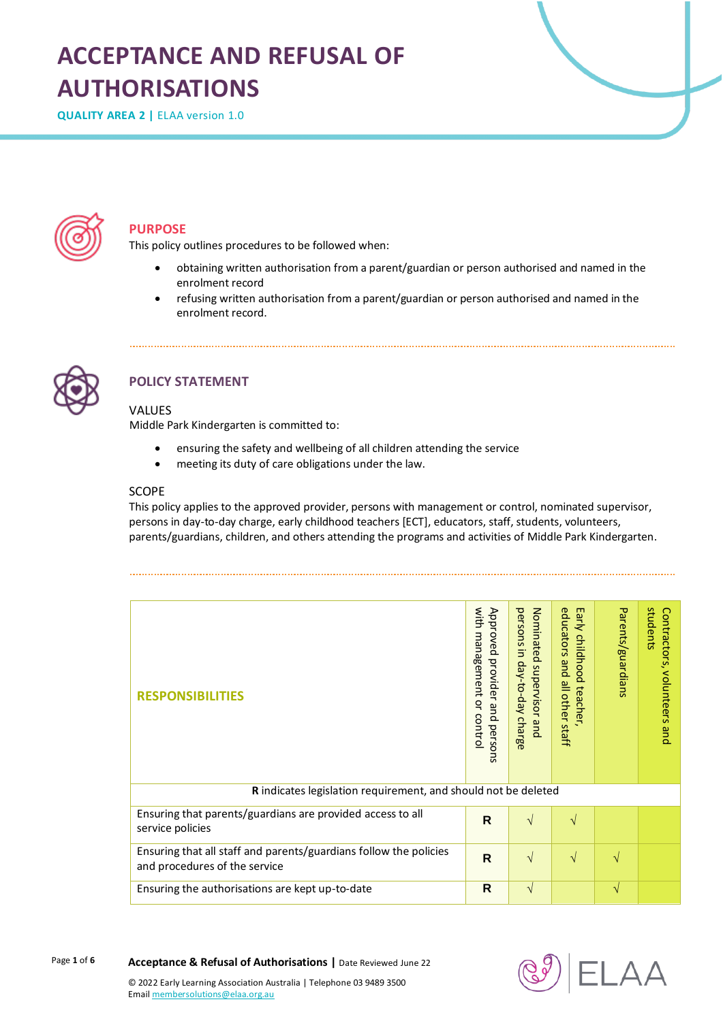# **ACCEPTANCE AND REFUSAL OF AUTHORISATIONS**

**QUALITY AREA 2 |** ELAA version 1.0



# **PURPOSE**

This policy outlines procedures to be followed when:

- obtaining written authorisation from a parent/guardian or person authorised and named in the enrolment record
- refusing written authorisation from a parent/guardian or person authorised and named in the enrolment record.



# **POLICY STATEMENT**

### VALUES

Middle Park Kindergarten is committed to:

- ensuring the safety and wellbeing of all children attending the service
- meeting its duty of care obligations under the law.

### SCOPE

This policy applies to the approved provider, persons with management or control, nominated supervisor, persons in day-to-day charge, early childhood teachers [ECT], educators, staff, students, volunteers, parents/guardians, children, and others attending the programs and activities of Middle Park Kindergarten.

| <b>RESPONSIBILITIES</b>                                                                            | with<br>Approved provider and perso<br>management<br>or contro<br>$\overline{5}$ | persons in day-to-day charge<br>Nominated<br>supervisor<br>pue | educators<br>Early<br>childhood<br>pue<br>all other staff<br>teacher | Parents/guardians | students<br>Contractors,<br>volunteers<br>and |  |
|----------------------------------------------------------------------------------------------------|----------------------------------------------------------------------------------|----------------------------------------------------------------|----------------------------------------------------------------------|-------------------|-----------------------------------------------|--|
| R indicates legislation requirement, and should not be deleted                                     |                                                                                  |                                                                |                                                                      |                   |                                               |  |
| Ensuring that parents/guardians are provided access to all<br>service policies                     | R                                                                                | $\sqrt{}$                                                      | $\sqrt{}$                                                            |                   |                                               |  |
| Ensuring that all staff and parents/guardians follow the policies<br>and procedures of the service | R                                                                                | $\sqrt{}$                                                      | $\sqrt{}$                                                            | N                 |                                               |  |
| Ensuring the authorisations are kept up-to-date                                                    | R                                                                                | V                                                              |                                                                      | N                 |                                               |  |

#### Page **1** of **6 Acceptance & Refusal of Authorisations |** Date Reviewed June 22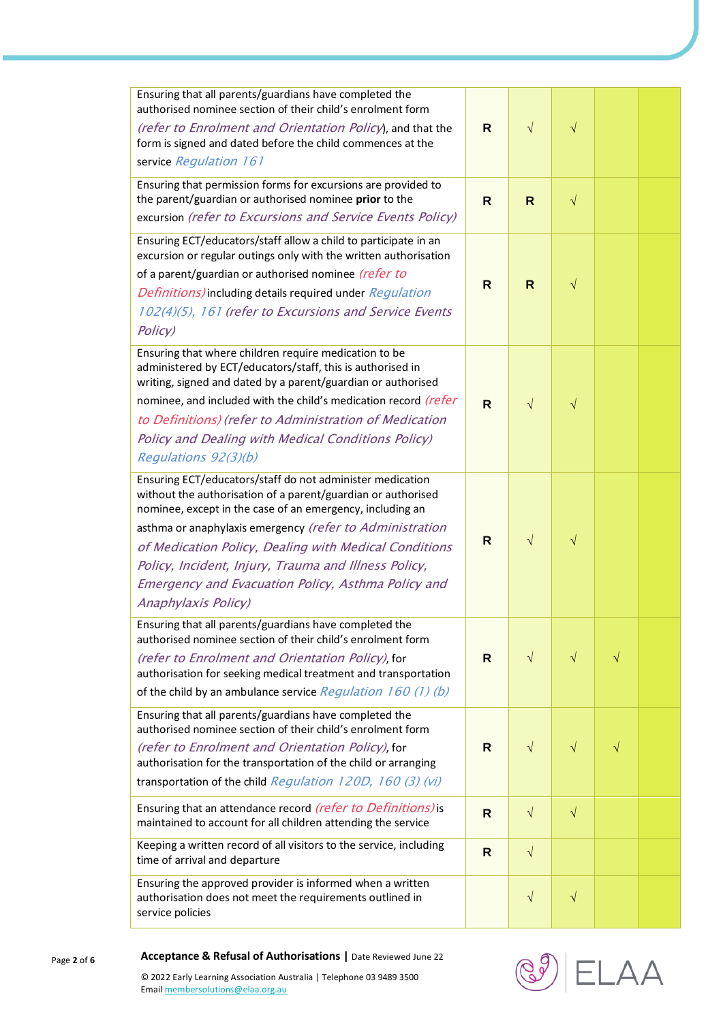| Ensuring that all parents/guardians have completed the<br>authorised nominee section of their child's enrolment form<br>(refer to Enrolment and Orientation Policy), and that the<br>form is signed and dated before the child commences at the<br>service Regulation 161                                                                                                                                                                        | R            | $\sqrt{}$    | $\sqrt{}$ |           |  |
|--------------------------------------------------------------------------------------------------------------------------------------------------------------------------------------------------------------------------------------------------------------------------------------------------------------------------------------------------------------------------------------------------------------------------------------------------|--------------|--------------|-----------|-----------|--|
| Ensuring that permission forms for excursions are provided to<br>the parent/guardian or authorised nominee prior to the<br>excursion (refer to Excursions and Service Events Policy)                                                                                                                                                                                                                                                             | R            | $\mathsf{R}$ | $\sqrt{}$ |           |  |
| Ensuring ECT/educators/staff allow a child to participate in an<br>excursion or regular outings only with the written authorisation<br>of a parent/guardian or authorised nominee (refer to<br>Definitions) including details required under Regulation<br>102(4)(5), 161 (refer to Excursions and Service Events<br>Policy)                                                                                                                     | R            | R            | $\sqrt{}$ |           |  |
| Ensuring that where children require medication to be<br>administered by ECT/educators/staff, this is authorised in<br>writing, signed and dated by a parent/guardian or authorised<br>nominee, and included with the child's medication record (refer<br>to Definitions) (refer to Administration of Medication<br>Policy and Dealing with Medical Conditions Policy)<br>Regulations 92(3)(b)                                                   | $\mathsf{R}$ | $\sqrt{}$    | $\sqrt{}$ |           |  |
| Ensuring ECT/educators/staff do not administer medication<br>without the authorisation of a parent/guardian or authorised<br>nominee, except in the case of an emergency, including an<br>asthma or anaphylaxis emergency (refer to Administration<br>of Medication Policy, Dealing with Medical Conditions<br>Policy, Incident, Injury, Trauma and Illness Policy,<br>Emergency and Evacuation Policy, Asthma Policy and<br>Anaphylaxis Policy) | R            | $\sqrt{}$    | $\sqrt{}$ |           |  |
| Ensuring that all parents/guardians have completed the<br>authorised nominee section of their child's enrolment form<br>(refer to Enrolment and Orientation Policy), for<br>authorisation for seeking medical treatment and transportation<br>of the child by an ambulance service Regulation 160 (1) (b)                                                                                                                                        | R            | $\sqrt{}$    | $\sqrt{}$ | $\sqrt{}$ |  |
| Ensuring that all parents/guardians have completed the<br>authorised nominee section of their child's enrolment form<br>(refer to Enrolment and Orientation Policy), for<br>authorisation for the transportation of the child or arranging<br>transportation of the child Regulation 120D, 160 (3) (vi)                                                                                                                                          | R            | $\sqrt{}$    | $\sqrt{}$ | $\sqrt{}$ |  |
| Ensuring that an attendance record (refer to Definitions) is<br>maintained to account for all children attending the service                                                                                                                                                                                                                                                                                                                     | $\mathsf{R}$ | $\sqrt{}$    | $\sqrt{}$ |           |  |
| Keeping a written record of all visitors to the service, including<br>time of arrival and departure                                                                                                                                                                                                                                                                                                                                              | $\mathsf{R}$ | $\sqrt{}$    |           |           |  |
| Ensuring the approved provider is informed when a written<br>authorisation does not meet the requirements outlined in<br>service policies                                                                                                                                                                                                                                                                                                        |              | $\sqrt{}$    | $\sqrt{}$ |           |  |



Emai[l membersolutions@elaa.org.au](mailto:membersolutions@elaa.org.au)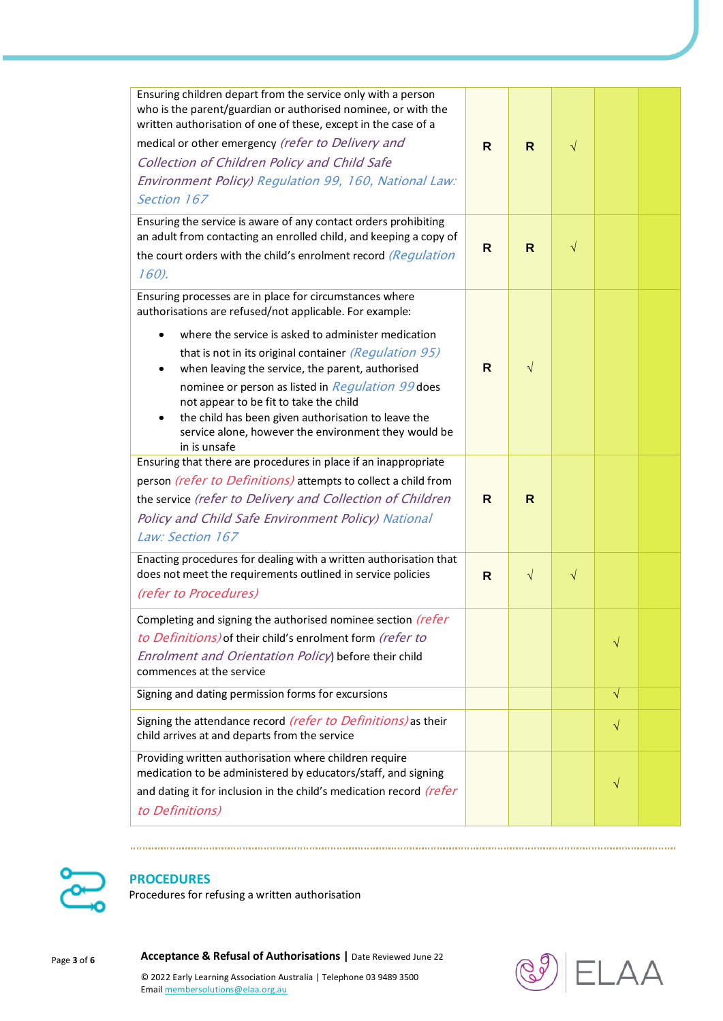| Ensuring children depart from the service only with a person<br>who is the parent/guardian or authorised nominee, or with the<br>written authorisation of one of these, except in the case of a<br>medical or other emergency (refer to Delivery and<br>Collection of Children Policy and Child Safe<br>Environment Policy) Regulation 99, 160, National Law:<br>Section 167                                                                                                                                              | R. | $\mathsf{R}$ | $\sqrt{}$ |           |  |
|---------------------------------------------------------------------------------------------------------------------------------------------------------------------------------------------------------------------------------------------------------------------------------------------------------------------------------------------------------------------------------------------------------------------------------------------------------------------------------------------------------------------------|----|--------------|-----------|-----------|--|
| Ensuring the service is aware of any contact orders prohibiting<br>an adult from contacting an enrolled child, and keeping a copy of<br>the court orders with the child's enrolment record (Regulation<br>160).                                                                                                                                                                                                                                                                                                           | R  | $\mathsf{R}$ | $\sqrt{}$ |           |  |
| Ensuring processes are in place for circumstances where<br>authorisations are refused/not applicable. For example:<br>where the service is asked to administer medication<br>that is not in its original container (Regulation 95)<br>when leaving the service, the parent, authorised<br>٠<br>nominee or person as listed in Regulation 99 does<br>not appear to be fit to take the child<br>the child has been given authorisation to leave the<br>service alone, however the environment they would be<br>in is unsafe | R  | $\sqrt{ }$   |           |           |  |
| Ensuring that there are procedures in place if an inappropriate<br>person (refer to Definitions) attempts to collect a child from<br>the service (refer to Delivery and Collection of Children<br>Policy and Child Safe Environment Policy) National<br>Law: Section 167                                                                                                                                                                                                                                                  | R  | R.           |           |           |  |
| Enacting procedures for dealing with a written authorisation that<br>does not meet the requirements outlined in service policies<br>(refer to Procedures)                                                                                                                                                                                                                                                                                                                                                                 | R  | $\sqrt{}$    | $\sqrt{}$ |           |  |
| Completing and signing the authorised nominee section (refer<br>to Definitions) of their child's enrolment form (refer to<br>Enrolment and Orientation Policy) before their child<br>commences at the service                                                                                                                                                                                                                                                                                                             |    |              |           | $\sqrt{}$ |  |
| Signing and dating permission forms for excursions                                                                                                                                                                                                                                                                                                                                                                                                                                                                        |    |              |           | $\sqrt{}$ |  |
| Signing the attendance record (refer to Definitions) as their<br>child arrives at and departs from the service                                                                                                                                                                                                                                                                                                                                                                                                            |    |              |           | $\sqrt{}$ |  |
| Providing written authorisation where children require<br>medication to be administered by educators/staff, and signing<br>and dating it for inclusion in the child's medication record (refer<br>to Definitions)                                                                                                                                                                                                                                                                                                         |    |              |           | $\sqrt{}$ |  |



### **PROCEDURES**

Procedures for refusing a written authorisation

Page **<sup>3</sup>** of **<sup>6</sup> Acceptance & Refusal of Authorisations |** Date Reviewed June 22



© 2022 Early Learning Association Australia | Telephone 03 9489 3500 Emai[l membersolutions@elaa.org.au](mailto:membersolutions@elaa.org.au)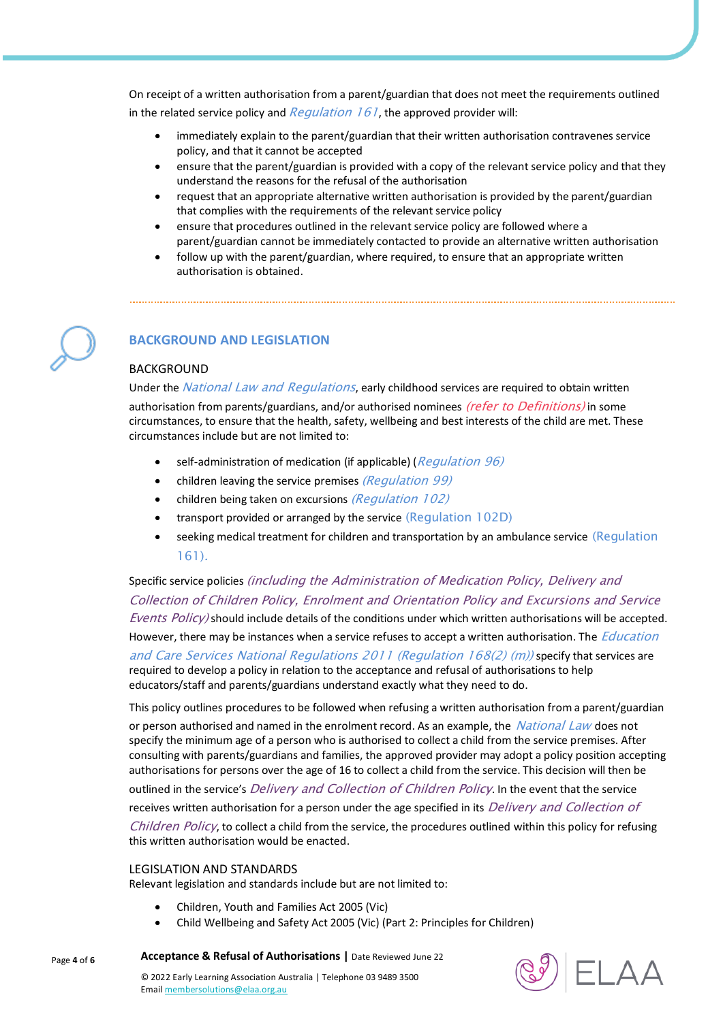On receipt of a written authorisation from a parent/guardian that does not meet the requirements outlined in the related service policy and Regulation 161, the approved provider will:

- immediately explain to the parent/guardian that their written authorisation contravenes service policy, and that it cannot be accepted
- ensure that the parent/guardian is provided with a copy of the relevant service policy and that they understand the reasons for the refusal of the authorisation
- request that an appropriate alternative written authorisation is provided by the parent/guardian that complies with the requirements of the relevant service policy
- ensure that procedures outlined in the relevant service policy are followed where a parent/guardian cannot be immediately contacted to provide an alternative written authorisation
- follow up with the parent/guardian, where required, to ensure that an appropriate written authorisation is obtained.

# **BACKGROUND AND LEGISLATION**

# BACKGROUND

Under the National Law and Regulations, early childhood services are required to obtain written authorisation from parents/guardians, and/or authorised nominees (refer to Definitions) in some circumstances, to ensure that the health, safety, wellbeing and best interests of the child are met. These circumstances include but are not limited to:

- self-administration of medication (if applicable) (*Regulation 96*)
- children leaving the service premises (Regulation 99)
- children being taken on excursions (Regulation 102)
- transport provided or arranged by the service (Regulation 102D)
- seeking medical treatment for children and transportation by an ambulance service (Regulation 161).

Specific service policies (including the Administration of Medication Policy, Delivery and Collection of Children Policy, Enrolment and Orientation Policy and Excursions and Service Events Policy) should include details of the conditions under which written authorisations will be accepted.

However, there may be instances when a service refuses to accept a written authorisation. The *Education* and Care Services National Regulations 2011 (Regulation 168(2) (m)) specify that services are required to develop a policy in relation to the acceptance and refusal of authorisations to help educators/staff and parents/guardians understand exactly what they need to do.

This policy outlines procedures to be followed when refusing a written authorisation from a parent/guardian

or person authorised and named in the enrolment record. As an example, the *National Law* does not specify the minimum age of a person who is authorised to collect a child from the service premises. After consulting with parents/guardians and families, the approved provider may adopt a policy position accepting authorisations for persons over the age of 16 to collect a child from the service. This decision will then be outlined in the service's Delivery and Collection of Children Policy. In the event that the service

receives written authorisation for a person under the age specified in its Delivery and Collection of

Children Policy, to collect a child from the service, the procedures outlined within this policy for refusing this written authorisation would be enacted.

### LEGISLATION AND STANDARDS

Emai[l membersolutions@elaa.org.au](mailto:membersolutions@elaa.org.au)

Relevant legislation and standards include but are not limited to:

Children, Youth and Families Act 2005 (Vic)

© 2022 Early Learning Association Australia | Telephone 03 9489 3500

Child Wellbeing and Safety Act 2005 (Vic) (Part 2: Principles for Children)

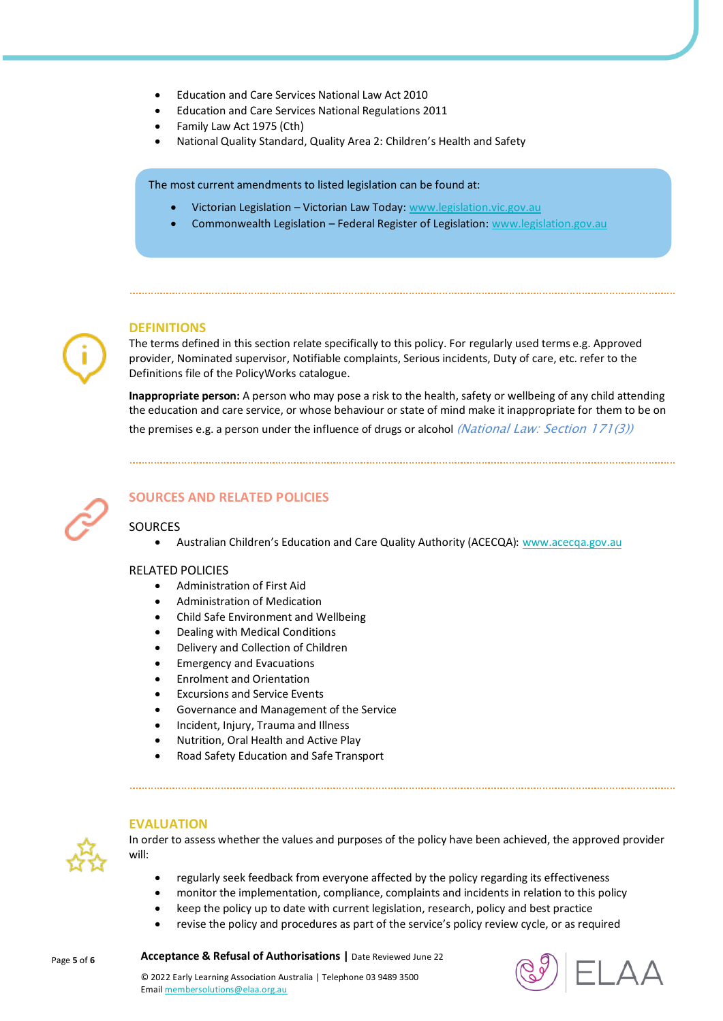- Education and Care Services National Law Act 2010
- Education and Care Services National Regulations 2011
- Family Law Act 1975 (Cth)
- National Quality Standard, Quality Area 2: Children's Health and Safety

The most current amendments to listed legislation can be found at:

- Victorian Legislation Victorian Law Today: [www.legislation.vic.gov.au](http://www.legislation.vic.gov.au/)
- Commonwealth Legislation Federal Register of Legislation: [www.legislation.gov.au](http://www.legislation.gov.au/)

### **DEFINITIONS**

The terms defined in this section relate specifically to this policy. For regularly used terms e.g. Approved provider, Nominated supervisor, Notifiable complaints, Serious incidents, Duty of care, etc. refer to the Definitions file of the PolicyWorks catalogue.

**Inappropriate person:** A person who may pose a risk to the health, safety or wellbeing of any child attending the education and care service, or whose behaviour or state of mind make it inappropriate for them to be on the premises e.g. a person under the influence of drugs or alcohol *(National Law: Section 171(3))* 



## **SOURCES AND RELATED POLICIES**

### **SOURCES**

Australian Children's Education and Care Quality Authority (ACECQA): [www.acecqa.gov.au](https://www.acecqa.gov.au/)

### RELATED POLICIES

**EVALUATION**

- Administration of First Aid
- Administration of Medication
- Child Safe Environment and Wellbeing
- Dealing with Medical Conditions
- Delivery and Collection of Children
- Emergency and Evacuations
- Enrolment and Orientation
- Excursions and Service Events
- Governance and Management of the Service
- Incident, Injury, Trauma and Illness
- Nutrition, Oral Health and Active Play
- Road Safety Education and Safe Transport



In order to assess whether the values and purposes of the policy have been achieved, the approved provider will:

- regularly seek feedback from everyone affected by the policy regarding its effectiveness
- monitor the implementation, compliance, complaints and incidents in relation to this policy
- keep the policy up to date with current legislation, research, policy and best practice
- revise the policy and procedures as part of the service's policy review cycle, or as required

Page **<sup>5</sup>** of **<sup>6</sup> Acceptance & Refusal of Authorisations |** Date Reviewed June 22